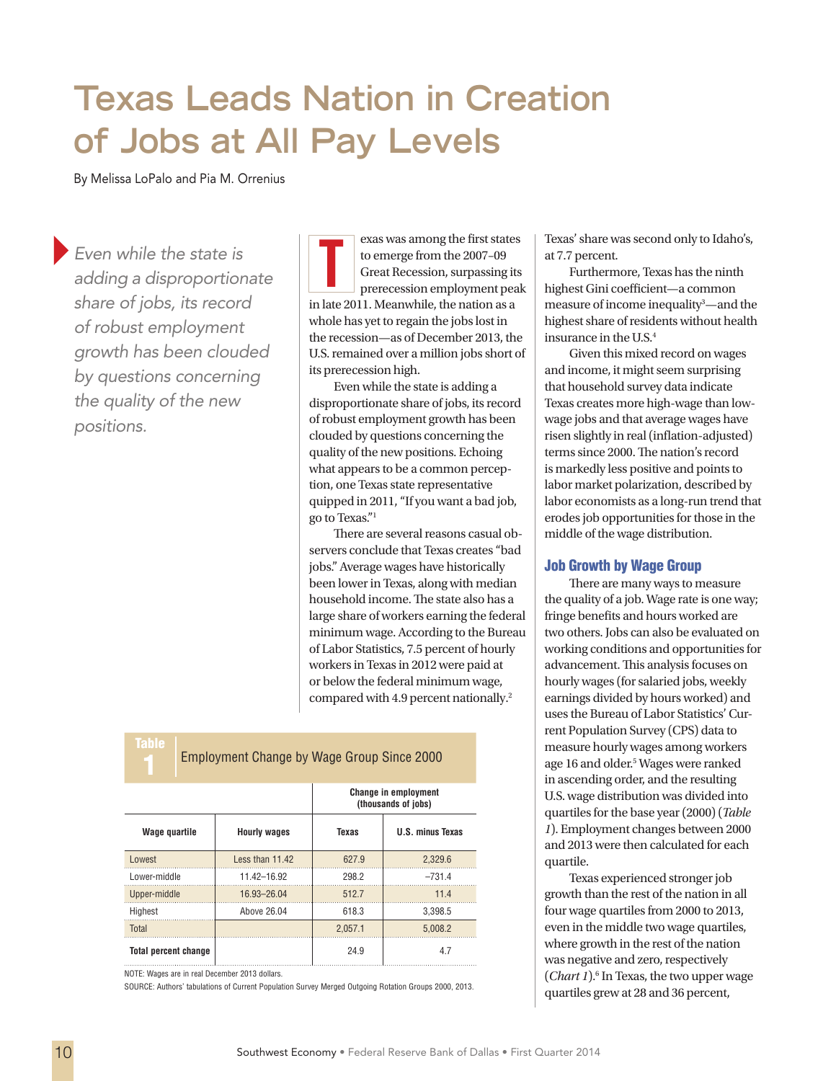# **Texas Leads Nation in Creation of Jobs at All Pay Levels**

By Melissa LoPalo and Pia M. Orrenius

}*Even while the state is adding a disproportionate share of jobs, its record of robust employment growth has been clouded by questions concerning the quality of the new positions.*

exas was among the first states<br>to emerge from the 2007–09<br>Great Recession, surpassing its<br>prerecession employment peak to emerge from the 2007–09 Great Recession, surpassing its prerecession employment peak in late 2011. Meanwhile, the nation as a whole has yet to regain the jobs lost in the recession—as of December 2013, the U.S. remained over a million jobs short of its prerecession high.

Even while the state is adding a disproportionate share of jobs, its record of robust employment growth has been clouded by questions concerning the quality of the new positions. Echoing what appears to be a common perception, one Texas state representative quipped in 2011, "If you want a bad job, go to Texas."1

There are several reasons casual observers conclude that Texas creates "bad jobs." Average wages have historically been lower in Texas, along with median household income. The state also has a large share of workers earning the federal minimum wage. According to the Bureau of Labor Statistics, 7.5 percent of hourly workers in Texas in 2012 were paid at um wage, nationally. $2$ 

|  | or below the federal minim<br>compared with 4.9 percent |
|--|---------------------------------------------------------|
|  | <b>Employment Change by Wage Group Since 2000</b>       |

|                             |                     | <b>Change in employment</b><br>(thousands of jobs) |                         |  |
|-----------------------------|---------------------|----------------------------------------------------|-------------------------|--|
| Wage quartile               | <b>Hourly wages</b> | <b>Texas</b>                                       | <b>U.S. minus Texas</b> |  |
| Lowest                      | Less than 11.42     | 627.9                                              | 2,329.6                 |  |
| Lower-middle                | 11.42-16.92         | 298.2                                              | $-731.4$                |  |
| Upper-middle                | 16.93-26.04         | 512.7                                              | 11.4                    |  |
| Highest                     | Above 26.04         | 618.3                                              | 3,398.5                 |  |
| Total                       |                     | 2.057.1                                            | 5.008.2                 |  |
| <b>Total percent change</b> |                     | 24.9                                               | 4.7                     |  |

NOTE: Wages are in real December 2013 dollars.

Table

SOURCE: Authors' tabulations of Current Population Survey Merged Outgoing Rotation Groups 2000, 2013.

Texas' share was second only to Idaho's, at 7.7 percent.

Furthermore, Texas has the ninth highest Gini coefficient—a common measure of income inequality<sup>3</sup>—and the highest share of residents without health insurance in the U.S.4

Given this mixed record on wages and income, it might seem surprising that household survey data indicate Texas creates more high-wage than lowwage jobs and that average wages have risen slightly in real (inflation-adjusted) terms since 2000. The nation's record is markedly less positive and points to labor market polarization, described by labor economists as a long-run trend that erodes job opportunities for those in the middle of the wage distribution.

#### Job Growth by Wage Group

There are many ways to measure the quality of a job. Wage rate is one way; fringe benefits and hours worked are two others. Jobs can also be evaluated on working conditions and opportunities for advancement. This analysis focuses on hourly wages (for salaried jobs, weekly earnings divided by hours worked) and uses the Bureau of Labor Statistics' Current Population Survey (CPS) data to measure hourly wages among workers age 16 and older.<sup>5</sup> Wages were ranked in ascending order, and the resulting U.S. wage distribution was divided into quartiles for the base year (2000) (*Table 1*). Employment changes between 2000 and 2013 were then calculated for each quartile.

Texas experienced stronger job growth than the rest of the nation in all four wage quartiles from 2000 to 2013, even in the middle two wage quartiles, where growth in the rest of the nation was negative and zero, respectively (*Chart 1*).<sup>6</sup> In Texas, the two upper wage quartiles grew at 28 and 36 percent,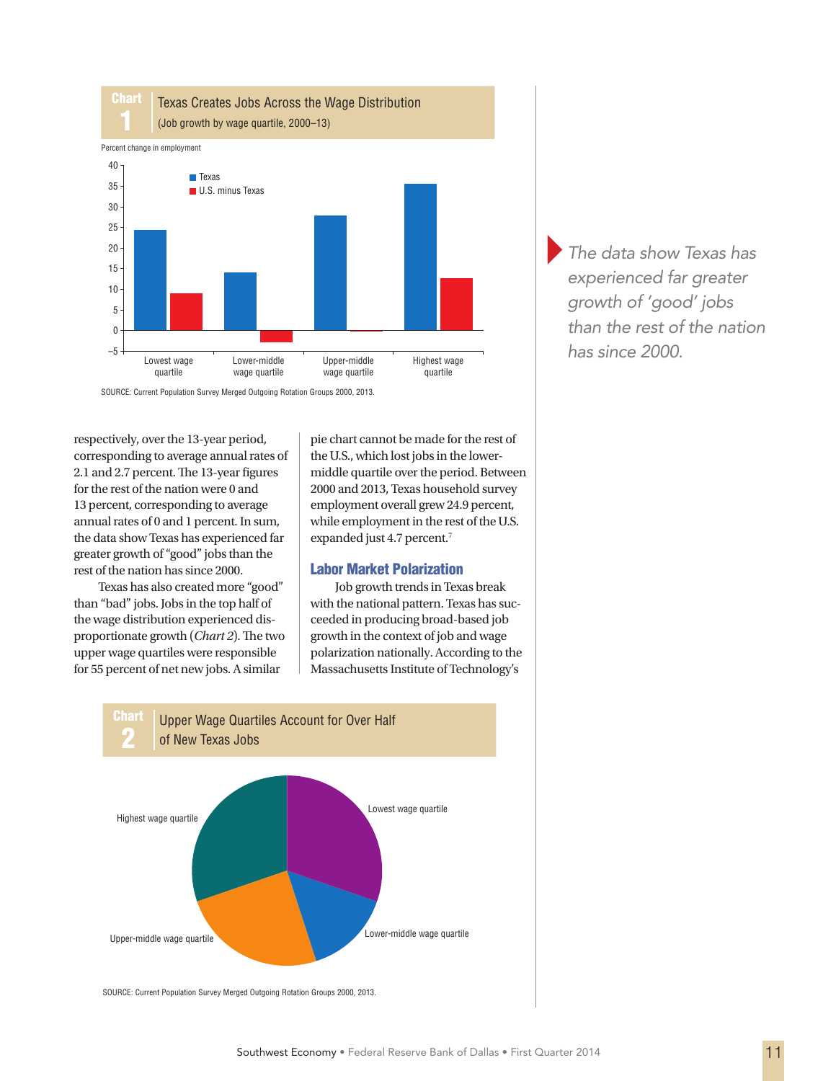

SOURCE: Current Population Survey Merged Outgoing Rotation Groups 2000, 2013.

respectively, over the 13-year period, corresponding to average annual rates of 2.1 and 2.7 percent. The 13-year figures for the rest of the nation were 0 and 13 percent, corresponding to average annual rates of 0 and 1 percent. In sum, the data show Texas has experienced far greater growth of "good" jobs than the rest of the nation has since 2000.

Texas has also created more "good" than "bad" jobs. Jobs in the top half of the wage distribution experienced disproportionate growth (*Chart 2*). The two upper wage quartiles were responsible for 55 percent of net new jobs. A similar

pie chart cannot be made for the rest of the U.S., which lost jobs in the lowermiddle quartile over the period. Between 2000 and 2013, Texas household survey employment overall grew 24.9 percent, while employment in the rest of the U.S. expanded just 4.7 percent.7

#### Labor Market Polarization

Job growth trends in Texas break with the national pattern. Texas has succeeded in producing broad-based job growth in the context of job and wage polarization nationally. According to the Massachusetts Institute of Technology's



}*The data show Texas has experienced far greater growth of 'good' jobs than the rest of the nation has since 2000.*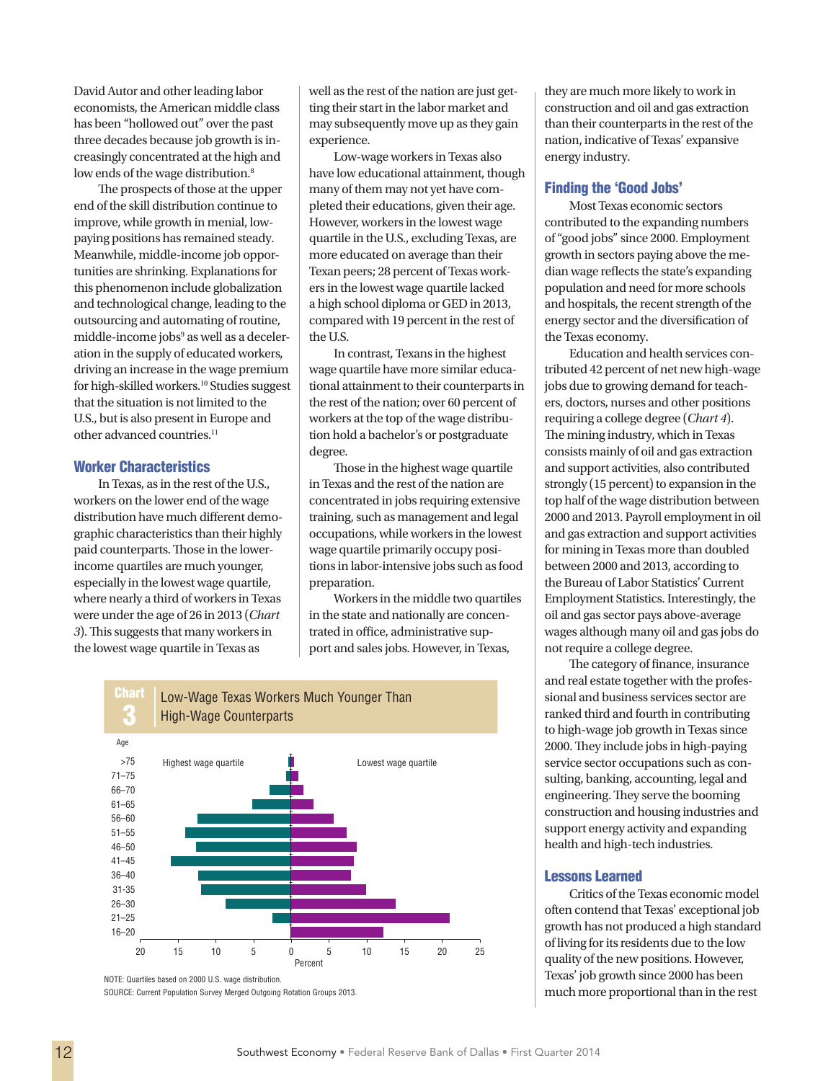David Autor and other leading labor economists, the American middle class has been "hollowed out" over the past three decades because job growth is increasingly concentrated at the high and low ends of the wage distribution.<sup>8</sup>

The prospects of those at the upper end of the skill distribution continue to improve, while growth in menial, lowpaying positions has remained steady. Meanwhile, middle-income job opportunities are shrinking. Explanations for this phenomenon include globalization and technological change, leading to the outsourcing and automating of routine, middle-income jobs<sup>9</sup> as well as a deceleration in the supply of educated workers, driving an increase in the wage premium for high-skilled workers.10 Studies suggest that the situation is not limited to the U.S., but is also present in Europe and other advanced countries.<sup>11</sup>

### Worker Characteristics

In Texas, as in the rest of the U.S., workers on the lower end of the wage distribution have much different demographic characteristics than their highly paid counterparts. Those in the lowerincome quartiles are much younger, especially in the lowest wage quartile, where nearly a third of workers in Texas were under the age of 26 in 2013 (*Chart 3*). This suggests that many workers in the lowest wage quartile in Texas as

well as the rest of the nation are just getting their start in the labor market and may subsequently move up as they gain experience.

Low-wage workers in Texas also have low educational attainment, though many of them may not yet have completed their educations, given their age. However, workers in the lowest wage quartile in the U.S., excluding Texas, are more educated on average than their Texan peers; 28 percent of Texas workers in the lowest wage quartile lacked a high school diploma or GED in 2013, compared with 19 percent in the rest of the U.S.

In contrast, Texans in the highest wage quartile have more similar educational attainment to their counterparts in the rest of the nation; over 60 percent of workers at the top of the wage distribution hold a bachelor's or postgraduate degree.

Those in the highest wage quartile in Texas and the rest of the nation are concentrated in jobs requiring extensive training, such as management and legal occupations, while workers in the lowest wage quartile primarily occupy positions in labor-intensive jobs such as food preparation.

Workers in the middle two quartiles in the state and nationally are concentrated in office, administrative support and sales jobs. However, in Texas,



NOTE: Quartiles based on 2000 U.S. wage distribution.

SOURCE: Current Population Survey Merged Outgoing Rotation Groups 2013.

they are much more likely to work in construction and oil and gas extraction than their counterparts in the rest of the nation, indicative of Texas' expansive energy industry.

#### Finding the 'Good Jobs'

Most Texas economic sectors contributed to the expanding numbers of "good jobs" since 2000. Employment growth in sectors paying above the median wage reflects the state's expanding population and need for more schools and hospitals, the recent strength of the energy sector and the diversification of the Texas economy.

Education and health services contributed 42 percent of net new high-wage jobs due to growing demand for teachers, doctors, nurses and other positions requiring a college degree (*Chart 4*). The mining industry, which in Texas consists mainly of oil and gas extraction and support activities, also contributed strongly (15 percent) to expansion in the top half of the wage distribution between 2000 and 2013. Payroll employment in oil and gas extraction and support activities for mining in Texas more than doubled between 2000 and 2013, according to the Bureau of Labor Statistics' Current Employment Statistics. Interestingly, the oil and gas sector pays above-average wages although many oil and gas jobs do not require a college degree.

The category of finance, insurance and real estate together with the professional and business services sector are ranked third and fourth in contributing to high-wage job growth in Texas since 2000. They include jobs in high-paying service sector occupations such as consulting, banking, accounting, legal and engineering. They serve the booming construction and housing industries and support energy activity and expanding health and high-tech industries.

#### Lessons Learned

Critics of the Texas economic model often contend that Texas' exceptional job growth has not produced a high standard of living for its residents due to the low quality of the new positions. However, Texas' job growth since 2000 has been much more proportional than in the rest